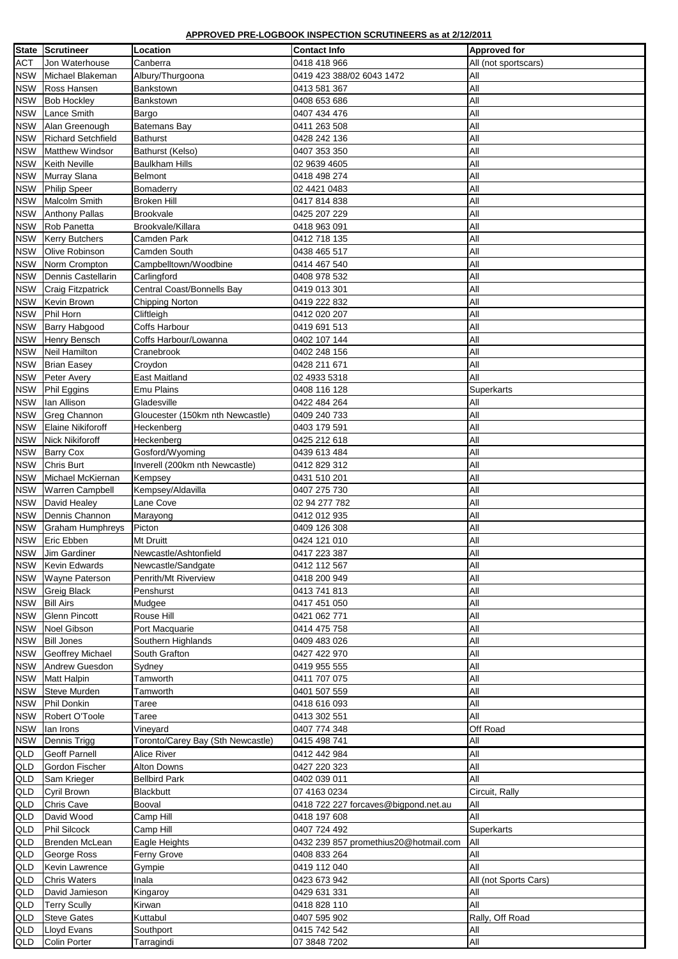## **APPROVED PRE-LOGBOOK INSPECTION SCRUTINEERS as at 2/12/2011**

| <b>State</b> | Scrutineer                | <b>Location</b>                   | <b>Contact Info</b>                    | <b>Approved for</b>   |
|--------------|---------------------------|-----------------------------------|----------------------------------------|-----------------------|
| <b>ACT</b>   | Jon Waterhouse            | Canberra                          | 0418 418 966                           | All (not sportscars)  |
| <b>NSW</b>   | Michael Blakeman          | Albury/Thurgoona                  | 0419 423 388/02 6043 1472              | All                   |
| <b>NSW</b>   | Ross Hansen               | Bankstown                         | 0413 581 367                           | All                   |
| <b>NSW</b>   | <b>Bob Hockley</b>        | Bankstown                         | 0408 653 686                           | All                   |
| <b>NSW</b>   | Lance Smith               | Bargo                             | 0407 434 476                           | All                   |
| <b>NSW</b>   | Alan Greenough            | <b>Batemans Bay</b>               | 0411 263 508                           | All                   |
|              | <b>Richard Setchfield</b> | Bathurst                          |                                        | All                   |
| <b>NSW</b>   |                           |                                   | 0428 242 136                           |                       |
| <b>NSW</b>   | Matthew Windsor           | Bathurst (Kelso)                  | 0407 353 350                           | All                   |
| <b>NSW</b>   | <b>Keith Neville</b>      | <b>Baulkham Hills</b>             | 02 9639 4605                           | All                   |
| <b>NSW</b>   | Murray Slana              | <b>Belmont</b>                    | 0418 498 274                           | All                   |
| <b>NSW</b>   | Philip Speer              | Bomaderry                         | 02 4421 0483                           | All                   |
| <b>NSW</b>   | Malcolm Smith             | <b>Broken Hill</b>                | 0417 814 838                           | All                   |
| <b>NSW</b>   | <b>Anthony Pallas</b>     | <b>Brookvale</b>                  | 0425 207 229                           | All                   |
| <b>NSW</b>   | Rob Panetta               | Brookvale/Killara                 | 0418 963 091                           | All                   |
| <b>NSW</b>   | <b>Kerry Butchers</b>     | <b>Camden Park</b>                | 0412 718 135                           | All                   |
| <b>NSW</b>   | <b>Olive Robinson</b>     | <b>Camden South</b>               | 0438 465 517                           | All                   |
| <b>NSW</b>   | Norm Crompton             | Campbelltown/Woodbine             | 0414 467 540                           | All                   |
| <b>NSW</b>   | Dennis Castellarin        | Carlingford                       | 0408 978 532                           | All                   |
| <b>NSW</b>   | <b>Craig Fitzpatrick</b>  | Central Coast/Bonnells Bay        | 0419 013 301                           | All                   |
| <b>NSW</b>   | Kevin Brown               | <b>Chipping Norton</b>            | 0419 222 832                           | All                   |
| <b>NSW</b>   | Phil Horn                 | Cliftleigh                        | 0412 020 207                           | All                   |
| <b>NSW</b>   | <b>Barry Habgood</b>      | <b>Coffs Harbour</b>              | 0419 691 513                           | All                   |
| <b>NSW</b>   | Henry Bensch              | Coffs Harbour/Lowanna             | 0402 107 144                           | All                   |
| <b>NSW</b>   | Neil Hamilton             | Cranebrook                        | 0402 248 156                           | All                   |
| <b>NSW</b>   | <b>Brian Easey</b>        | Croydon                           | 0428 211 671                           | All                   |
| <b>NSW</b>   | Peter Avery               | <b>East Maitland</b>              | 02 4933 5318                           | All                   |
| <b>NSW</b>   | Phil Eggins               | <b>Emu Plains</b>                 | 0408 116 128                           | Superkarts            |
|              | NSW   Ian Allison         | Gladesville                       | 0422 484 264                           | All                   |
| <b>NSW</b>   | <b>Greg Channon</b>       | Gloucester (150km nth Newcastle)  | 0409 240 733                           | All                   |
| <b>NSW</b>   | <b>Elaine Nikiforoff</b>  | Heckenberg                        | 0403 179 591                           | All                   |
| <b>NSW</b>   | Nick Nikiforoff           | Heckenberg                        | 0425 212 618                           | All                   |
| <b>NSW</b>   | <b>Barry Cox</b>          | Gosford/Wyoming                   | 0439 613 484                           | All                   |
| <b>NSW</b>   | Chris Burt                | Inverell (200km nth Newcastle)    | 0412 829 312                           | All                   |
| <b>NSW</b>   | Michael McKiernan         | Kempsey                           | 0431 510 201                           | All                   |
| <b>NSW</b>   | <b>Warren Campbell</b>    | Kempsey/Aldavilla                 | 0407 275 730                           | All                   |
| <b>NSW</b>   | David Healey              | Lane Cove                         | 02 94 277 782                          | All                   |
| <b>NSW</b>   | Dennis Channon            | Marayong                          | 0412 012 935                           | All                   |
| <b>NSW</b>   | <b>Graham Humphreys</b>   | Picton                            | 0409 126 308                           | All                   |
| <b>NSW</b>   | <b>Eric Ebben</b>         | Mt Druitt                         | 0424 121 010                           | All                   |
| <b>NSW</b>   | <b>Jim Gardiner</b>       | Newcastle/Ashtonfield             | 0417 223 387                           | All                   |
| <b>NSW</b>   | Kevin Edwards             | Newcastle/Sandgate                | 0412 112 567                           | All                   |
| <b>NSW</b>   | <b>Wayne Paterson</b>     | Penrith/Mt Riverview              | 0418 200 949                           | All                   |
| <b>NSW</b>   | <b>Greig Black</b>        | Penshurst                         | 0413 741 813                           | All                   |
| <b>NSW</b>   | <b>Bill Airs</b>          | Mudgee                            | 0417 451 050                           | All                   |
| <b>NSW</b>   | <b>Glenn Pincott</b>      | Rouse Hill                        | 0421 062 771                           | All                   |
| <b>NSW</b>   | Noel Gibson               | Port Macquarie                    | 0414 475 758                           | All                   |
| <b>NSW</b>   | <b>Bill Jones</b>         | Southern Highlands                | 0409 483 026                           | All                   |
| <b>NSW</b>   | <b>Geoffrey Michael</b>   | South Grafton                     | 0427 422 970                           | All                   |
| <b>NSW</b>   | <b>Andrew Guesdon</b>     | Sydney                            | 0419 955 555                           | All                   |
| <b>NSW</b>   | <b>Matt Halpin</b>        | Tamworth                          | 0411 707 075                           | All                   |
| <b>NSW</b>   | <b>Steve Murden</b>       | Tamworth                          | 0401 507 559                           | All                   |
| <b>NSW</b>   | Phil Donkin               | Taree                             | 0418 616 093                           | All                   |
| <b>NSW</b>   | Robert O'Toole            | Taree                             | 0413 302 551                           | All                   |
| <b>NSW</b>   | lan Irons                 | Vineyard                          | 0407 774 348                           | Off Road              |
| <b>NSW</b>   | Dennis Trigg              | Toronto/Carey Bay (Sth Newcastle) | 0415 498 741                           | All                   |
| <b>QLD</b>   | <b>Geoff Parnell</b>      | <b>Alice River</b>                | 0412 442 984                           | All                   |
| <b>QLD</b>   | <b>Gordon Fischer</b>     | <b>Alton Downs</b>                | 0427 220 323                           | All                   |
| QLD          | Sam Krieger               | <b>Bellbird Park</b>              | 0402 039 011                           | All                   |
| QLD          | Cyril Brown               | <b>Blackbutt</b>                  | 07 4163 0234                           | Circuit, Rally        |
| QLD          | <b>Chris Cave</b>         | Booval                            | 0418 722 227 forcaves@bigpond.net.au   | All                   |
| QLD          | David Wood                | Camp Hill                         | 0418 197 608                           | All                   |
| QLD          | <b>Phil Silcock</b>       | Camp Hill                         | 0407 724 492                           | Superkarts            |
|              | Brenden McLean            |                                   | 0432 239 857 promethius 20@hotmail.com | All                   |
| QLD          |                           | Eagle Heights                     |                                        |                       |
| QLD          | George Ross               | Ferny Grove                       | 0408 833 264                           | All                   |
| QLD          | Kevin Lawrence            | Gympie                            | 0419 112 040                           | All                   |
| QLD          | <b>Chris Waters</b>       | Inala                             | 0423 673 942                           | All (not Sports Cars) |
| QLD          | David Jamieson            | Kingaroy                          | 0429 631 331                           | All                   |
| QLD          | <b>Terry Scully</b>       | Kirwan                            | 0418 828 110                           | All                   |
| QLD          | <b>Steve Gates</b>        | Kuttabul                          | 0407 595 902                           | Rally, Off Road       |
| QLD          | Lloyd Evans               | Southport                         | 0415 742 542                           | All                   |
| QLD          | Colin Porter              | Tarragindi                        | 07 3848 7202                           | All                   |